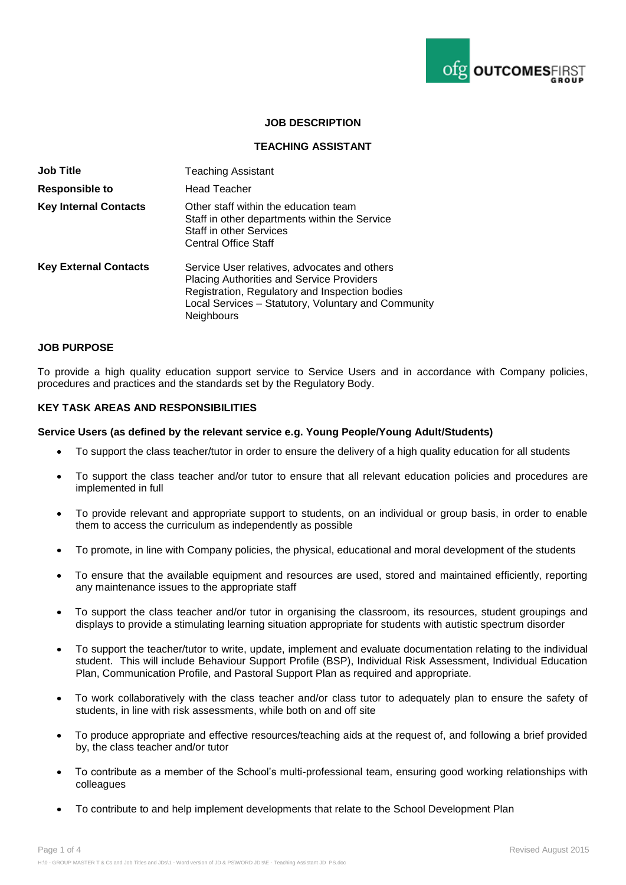

# **JOB DESCRIPTION**

# **TEACHING ASSISTANT**

| <b>Job Title</b>             | <b>Teaching Assistant</b>                                                                                                                                                                                                      |
|------------------------------|--------------------------------------------------------------------------------------------------------------------------------------------------------------------------------------------------------------------------------|
| <b>Responsible to</b>        | <b>Head Teacher</b>                                                                                                                                                                                                            |
| <b>Key Internal Contacts</b> | Other staff within the education team<br>Staff in other departments within the Service<br><b>Staff in other Services</b><br><b>Central Office Staff</b>                                                                        |
| <b>Key External Contacts</b> | Service User relatives, advocates and others<br><b>Placing Authorities and Service Providers</b><br>Registration, Regulatory and Inspection bodies<br>Local Services - Statutory, Voluntary and Community<br><b>Neighbours</b> |

#### **JOB PURPOSE**

To provide a high quality education support service to Service Users and in accordance with Company policies, procedures and practices and the standards set by the Regulatory Body.

### **KEY TASK AREAS AND RESPONSIBILITIES**

#### **Service Users (as defined by the relevant service e.g. Young People/Young Adult/Students)**

- To support the class teacher/tutor in order to ensure the delivery of a high quality education for all students
- To support the class teacher and/or tutor to ensure that all relevant education policies and procedures are implemented in full
- To provide relevant and appropriate support to students, on an individual or group basis, in order to enable them to access the curriculum as independently as possible
- To promote, in line with Company policies, the physical, educational and moral development of the students
- To ensure that the available equipment and resources are used, stored and maintained efficiently, reporting any maintenance issues to the appropriate staff
- To support the class teacher and/or tutor in organising the classroom, its resources, student groupings and displays to provide a stimulating learning situation appropriate for students with autistic spectrum disorder
- To support the teacher/tutor to write, update, implement and evaluate documentation relating to the individual student. This will include Behaviour Support Profile (BSP), Individual Risk Assessment, Individual Education Plan, Communication Profile, and Pastoral Support Plan as required and appropriate.
- To work collaboratively with the class teacher and/or class tutor to adequately plan to ensure the safety of students, in line with risk assessments, while both on and off site
- To produce appropriate and effective resources/teaching aids at the request of, and following a brief provided by, the class teacher and/or tutor
- To contribute as a member of the School's multi-professional team, ensuring good working relationships with colleagues
- To contribute to and help implement developments that relate to the School Development Plan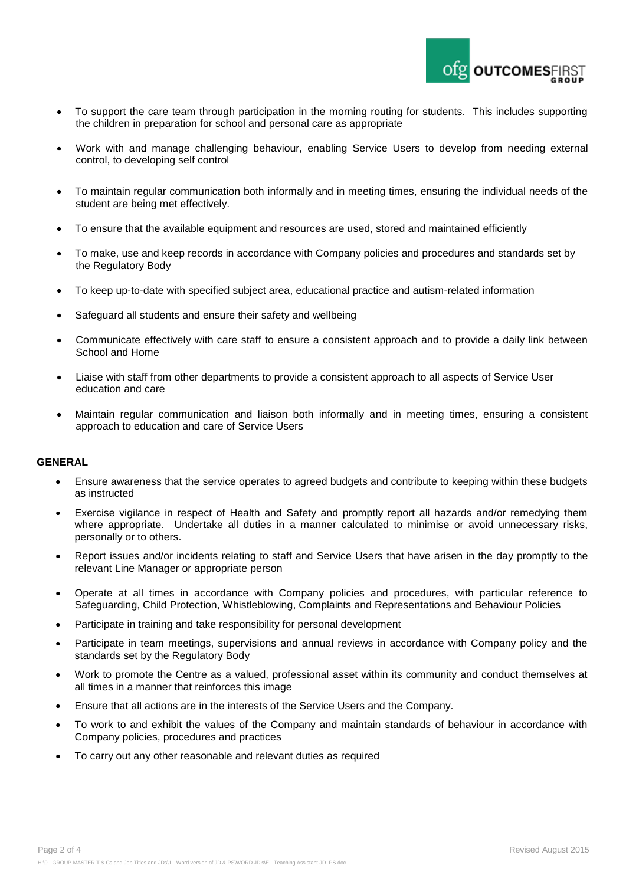

- To support the care team through participation in the morning routing for students. This includes supporting the children in preparation for school and personal care as appropriate
- Work with and manage challenging behaviour, enabling Service Users to develop from needing external control, to developing self control
- To maintain regular communication both informally and in meeting times, ensuring the individual needs of the student are being met effectively.
- To ensure that the available equipment and resources are used, stored and maintained efficiently
- To make, use and keep records in accordance with Company policies and procedures and standards set by the Regulatory Body
- To keep up-to-date with specified subject area, educational practice and autism-related information
- Safeguard all students and ensure their safety and wellbeing
- Communicate effectively with care staff to ensure a consistent approach and to provide a daily link between School and Home
- Liaise with staff from other departments to provide a consistent approach to all aspects of Service User education and care
- Maintain regular communication and liaison both informally and in meeting times, ensuring a consistent approach to education and care of Service Users

### **GENERAL**

- Ensure awareness that the service operates to agreed budgets and contribute to keeping within these budgets as instructed
- Exercise vigilance in respect of Health and Safety and promptly report all hazards and/or remedying them where appropriate. Undertake all duties in a manner calculated to minimise or avoid unnecessary risks, personally or to others.
- Report issues and/or incidents relating to staff and Service Users that have arisen in the day promptly to the relevant Line Manager or appropriate person
- Operate at all times in accordance with Company policies and procedures, with particular reference to Safeguarding, Child Protection, Whistleblowing, Complaints and Representations and Behaviour Policies
- Participate in training and take responsibility for personal development
- Participate in team meetings, supervisions and annual reviews in accordance with Company policy and the standards set by the Regulatory Body
- Work to promote the Centre as a valued, professional asset within its community and conduct themselves at all times in a manner that reinforces this image
- Ensure that all actions are in the interests of the Service Users and the Company.
- To work to and exhibit the values of the Company and maintain standards of behaviour in accordance with Company policies, procedures and practices
- To carry out any other reasonable and relevant duties as required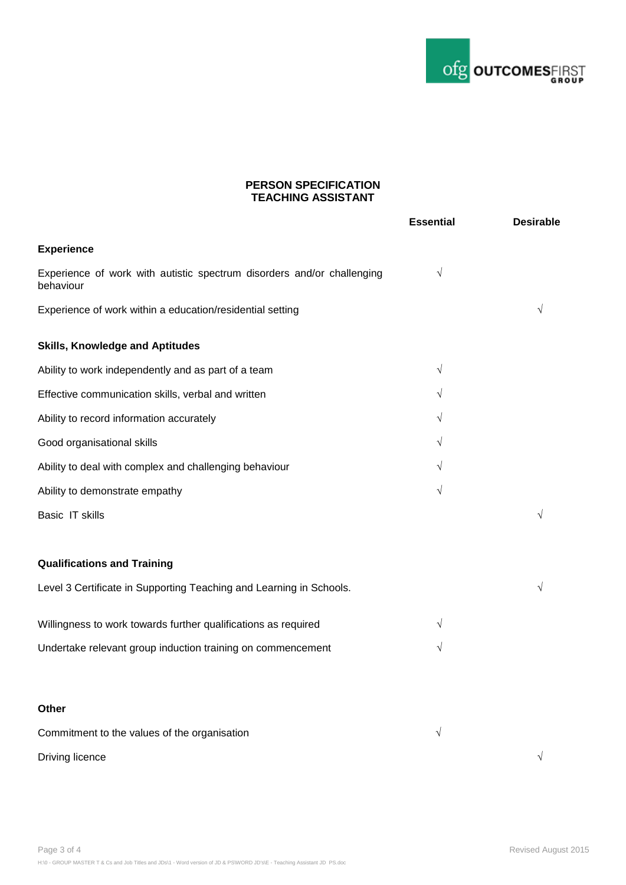

# **PERSON SPECIFICATION TEACHING ASSISTANT**

|                                                                                     | <b>Essential</b> | <b>Desirable</b> |
|-------------------------------------------------------------------------------------|------------------|------------------|
| <b>Experience</b>                                                                   |                  |                  |
| Experience of work with autistic spectrum disorders and/or challenging<br>behaviour | $\sqrt{}$        |                  |
| Experience of work within a education/residential setting                           |                  |                  |
| <b>Skills, Knowledge and Aptitudes</b>                                              |                  |                  |
| Ability to work independently and as part of a team                                 | $\sqrt{}$        |                  |
| Effective communication skills, verbal and written                                  | $\sqrt{}$        |                  |
| Ability to record information accurately                                            | V                |                  |
| Good organisational skills                                                          | $\sqrt{}$        |                  |
| Ability to deal with complex and challenging behaviour                              | V                |                  |
| Ability to demonstrate empathy                                                      | $\sqrt{}$        |                  |
| Basic IT skills                                                                     |                  |                  |
| <b>Qualifications and Training</b>                                                  |                  |                  |
| Level 3 Certificate in Supporting Teaching and Learning in Schools.                 |                  |                  |
| Willingness to work towards further qualifications as required                      | $\sqrt{}$        |                  |
| Undertake relevant group induction training on commencement                         | $\sqrt{}$        |                  |
| Other                                                                               |                  |                  |
| Commitment to the values of the organisation                                        | $\sqrt{}$        |                  |
| Driving licence                                                                     |                  | $\sqrt{}$        |